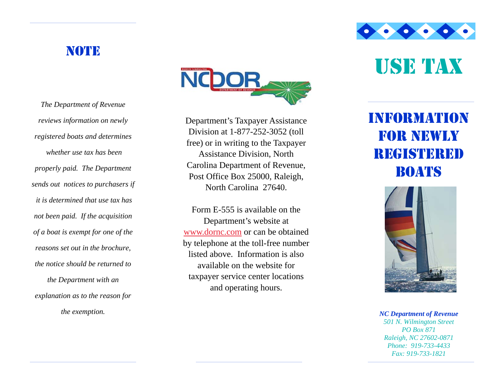### **NOTE**

Department's Taxpayer Assistance Division at 1-877-252-3052 (toll free) or in writing to the Taxpayer Assistance Division, North Carolina Department of Revenue, Post Office Box 25000, Raleigh, North Carolina 27640.

Form E-555 is available on the Department's website at www.dornc.com or can be obtained by telephone at the toll-free number listed above. Information is also available on the website for taxpayer service center locations and operating hours.

USE TAX

 $\bullet \bullet \bullet \bullet \bullet \bullet$ 

# INFORMATION FOR NEWLY **REGISTERED** BOATS



*NC Department of Revenue 501 N. Wilmington Street PO Box 871 Raleigh, NC 27602-0871 Phone: 919-733-4433 Fax: 919-733-1821* 

*The Department of Revenue reviews information on newly registered boats and determines whether use tax has been properly paid. The Department sends out notices to purchasers if it is determined that use tax has not been paid. If the acquisition of a boat is exempt for one of the reasons set out in the brochure, the notice should be returned to the Department with an explanation as to the reason for the exemption.*